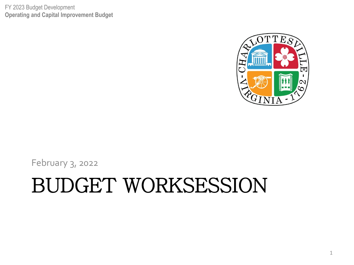FY 2023 Budget Development **Operating and Capital Improvement Budget**



February 3, 2022

#### BUDGET WORKSESSION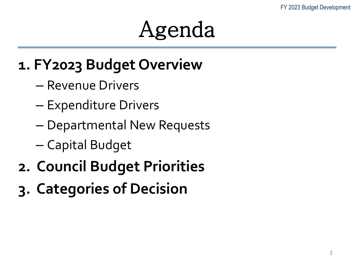#### Agenda

#### **1. FY2023 Budget Overview**

- Revenue Drivers
- Expenditure Drivers
- Departmental New Requests
- Capital Budget
- **2. Council Budget Priorities**
- **3. Categories of Decision**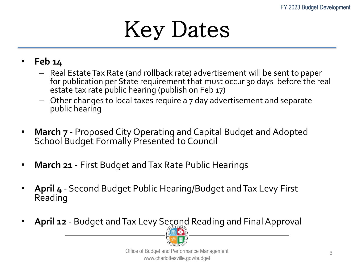

- **Feb 14**
	- Real Estate Tax Rate (and rollback rate) advertisement will be sent to paper for publication per State requirement that must occur 30 days before the real estate tax rate public hearing (publish on Feb 17)
	- Other changes to local taxes require a 7 day advertisement and separate public hearing
- **March 7** Proposed City Operating and Capital Budget and Adopted School Budget Formally Presented to Council
- **March 21** First Budget and Tax Rate Public Hearings
- **April 4** Second Budget Public Hearing/Budget and Tax Levy First Reading
- **April 12**  Budget and Tax Levy Second Reading and Final Approval

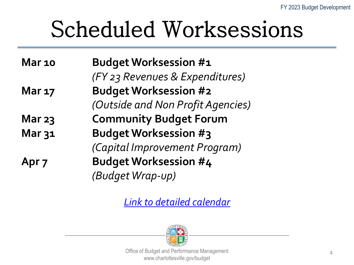# Scheduled Worksessions

**Mar 10 Budget Worksession #1**  *(FY 23 Revenues & Expenditures)* **Mar 17 Budget Worksession #2**  *(Outside and Non Profit Agencies)* **Mar 23 Community Budget Forum Mar 31 Budget Worksession #3**  *(Capital Improvement Program)* **Apr 7 Budget Worksession #4**  *(Budget Wrap-up)*

*[Link to detailed calendar](https://charlottesville.gov/DocumentCenter/View/6467/FY23-Budget-Development-Public-Meetings?bidId=)*

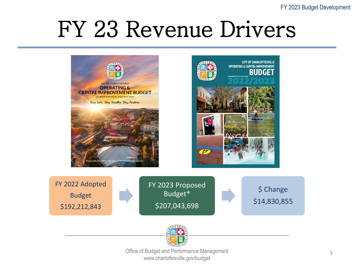





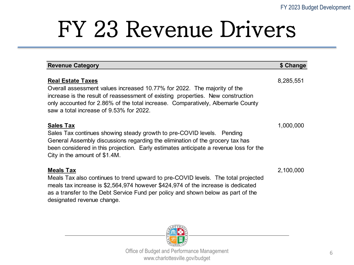| <b>Revenue Category</b>                                                                                                                                                                                                                                                                                               | \$ Change |
|-----------------------------------------------------------------------------------------------------------------------------------------------------------------------------------------------------------------------------------------------------------------------------------------------------------------------|-----------|
| <b>Real Estate Taxes</b><br>Overall assessment values increased 10.77% for 2022. The majority of the<br>increase is the result of reassessment of existing properties. New construction<br>only accounted for 2.86% of the total increase. Comparatively, Albemarle County<br>saw a total increase of 9.53% for 2022. | 8,285,551 |
| <b>Sales Tax</b><br>Sales Tax continues showing steady growth to pre-COVID levels.  Pending<br>General Assembly discussions regarding the elimination of the grocery tax has<br>been considered in this projection. Early estimates anticipate a revenue loss for the<br>City in the amount of \$1.4M.                | 1,000,000 |
| <b>Meals Tax</b><br>Meals Tax also continues to trend upward to pre-COVID levels. The total projected<br>meals tax increase is \$2,564,974 however \$424,974 of the increase is dedicated<br>as a transfer to the Debt Service Fund per policy and shown below as part of the<br>designated revenue change.           | 2,100,000 |

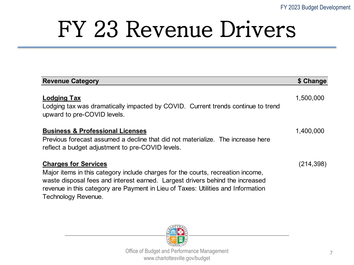| <b>Revenue Category</b>                                                                                                                                                                                                                                                                                    | \$ Change |
|------------------------------------------------------------------------------------------------------------------------------------------------------------------------------------------------------------------------------------------------------------------------------------------------------------|-----------|
| <b>Lodging Tax</b><br>Lodging tax was dramatically impacted by COVID. Current trends continue to trend<br>upward to pre-COVID levels.                                                                                                                                                                      | 1,500,000 |
| <b>Business &amp; Professional Licenses</b><br>Previous forecast assumed a decline that did not materialize. The increase here<br>reflect a budget adjustment to pre-COVID levels.                                                                                                                         | 1,400,000 |
| <b>Charges for Services</b><br>Major items in this category include charges for the courts, recreation income,<br>waste disposal fees and interest earned. Largest drivers behind the increased<br>revenue in this category are Payment in Lieu of Taxes: Utilities and Information<br>Technology Revenue. | (214,398) |

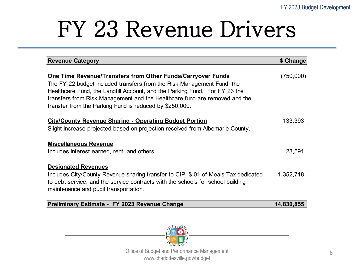| <b>Revenue Category</b>                                                                                                                                                                                                                                                                                                                                      | \$ Change |
|--------------------------------------------------------------------------------------------------------------------------------------------------------------------------------------------------------------------------------------------------------------------------------------------------------------------------------------------------------------|-----------|
| One Time Revenue/Transfers from Other Funds/Carryover Funds<br>The FY 22 budget included transfers from the Risk Management Fund, the<br>Healthcare Fund, the Landfill Account, and the Parking Fund. For FY 23 the<br>transfers from Risk Management and the Healthcare fund are removed and the<br>transfer from the Parking Fund is reduced by \$250,000. | (750,000) |
| <b>City/County Revenue Sharing - Operating Budget Portion</b><br>Slight increase projected based on projection received from Albemarle County.                                                                                                                                                                                                               | 133,393   |
| <b>Miscellaneous Revenue</b><br>Includes interest earned, rent, and others.                                                                                                                                                                                                                                                                                  | 23,591    |
| <b>Designated Revenues</b><br>Includes City/County Revenue sharing transfer to CIP, \$.01 of Meals Tax dedicated<br>to debt service, and the service contracts with the schools for school building<br>maintenance and pupil transportation.                                                                                                                 | 1,352,718 |

|  | Preliminary Estimate - FY 2023 Revenue Change | 14,830,855 |  |
|--|-----------------------------------------------|------------|--|
|  |                                               |            |  |

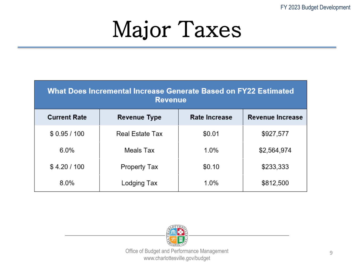#### Major Taxes

| <b>What Does Incremental Increase Generate Based on FY22 Estimated</b><br><b>Revenue</b> |                     |               |                         |  |  |
|------------------------------------------------------------------------------------------|---------------------|---------------|-------------------------|--|--|
| <b>Current Rate</b>                                                                      | <b>Revenue Type</b> | Rate Increase | <b>Revenue Increase</b> |  |  |
| \$0.95/100                                                                               | Real Estate Tax     | \$0.01        | \$927,577               |  |  |
| 6.0%                                                                                     | Meals Tax           | 1.0%          | \$2,564,974             |  |  |
| \$4.20/100                                                                               | Property Tax        | \$0.10        | \$233,333               |  |  |
| 8.0%                                                                                     | Lodging Tax         | 1.0%          | \$812,500               |  |  |

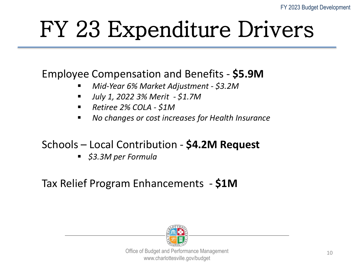# FY 23 Expenditure Drivers

#### Employee Compensation and Benefits - **\$5.9M**

- *Mid-Year 6% Market Adjustment - \$3.2M*
- *July 1, 2022 3% Merit - \$1.7M*
- *Retiree 2% COLA - \$1M*
- *No changes or cost increases for Health Insurance*

#### Schools – Local Contribution - **\$4.2M Request**

*\$3.3M per Formula*

#### Tax Relief Program Enhancements - **\$1M**

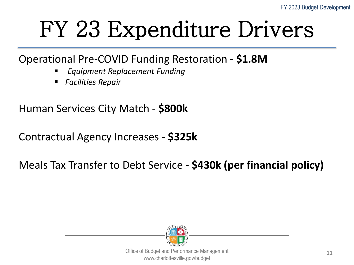### FY 23 Expenditure Drivers

#### Operational Pre-COVID Funding Restoration - **\$1.8M**

- *Equipment Replacement Funding*
- *Facilities Repair*

Human Services City Match - **\$800k**

Contractual Agency Increases - **\$325k**

#### Meals Tax Transfer to Debt Service - **\$430k (per financial policy)**

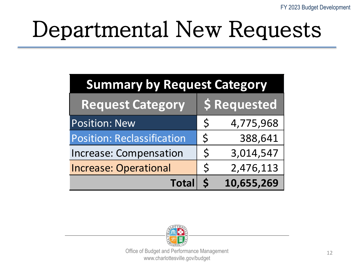# Departmental New Requests

| <b>Summary by Request Category</b> |              |              |  |  |
|------------------------------------|--------------|--------------|--|--|
| <b>Request Category</b>            |              | \$ Requested |  |  |
| Position: New                      | $\mathsf{S}$ | 4,775,968    |  |  |
| <b>Position: Reclassification</b>  | $\mathsf{S}$ | 388,641      |  |  |
| <b>Increase: Compensation</b>      | $\mathsf{S}$ | 3,014,547    |  |  |
| <b>Increase: Operational</b>       | $\zeta$      | 2,476,113    |  |  |
| <b>Total</b>                       |              | 10,655,269   |  |  |

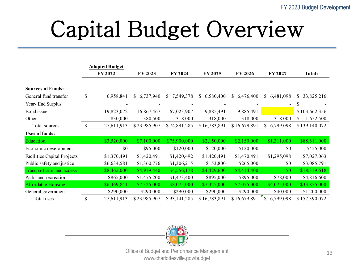# Capital Budget Overview

|                                    |              | <b>Adopted Budget</b> |                 |                 |                 |                 |                          |                  |
|------------------------------------|--------------|-----------------------|-----------------|-----------------|-----------------|-----------------|--------------------------|------------------|
|                                    |              | FY 2022               | FY 2023         | FY 2024         | FY 2025         | FY 2026         | FY 2027                  | <b>Totals</b>    |
|                                    |              |                       |                 |                 |                 |                 |                          |                  |
| <b>Sources of Funds:</b>           |              |                       |                 |                 |                 |                 |                          |                  |
| General fund transfer              | \$           | 6,958,841             | 6,737,940<br>S. | 7,549,378<br>\$ | 6,580,400<br>S. | 6,476,400<br>\$ | 6,481,098<br>\$          | 33,825,216<br>S. |
| Year-End Surplus                   |              |                       |                 |                 |                 |                 | $\overline{\phantom{a}}$ | S                |
| Bond issues                        |              | 19,823,072            | 16,867,467      | 67,023,907      | 9,885,491       | 9,885,491       | $\blacksquare$           | \$103,662,356    |
| Other                              |              | 830,000               | 380,500         | 318,000         | 318,000         | 318,000         | 318,000                  | 1,652,500<br>S.  |
| Total sources                      | $\mathbb{S}$ | 27,611,913            | \$23,985,907    | \$74,891,285    | \$16,783,891    | \$16,679,891    | 6,799,098<br>\$          | \$139,140,072    |
| <b>Uses of funds:</b>              |              |                       |                 |                 |                 |                 |                          |                  |
| Education                          |              | \$3,520,000           | \$7,100,000     | \$75,900,000    | \$2,150,000     | \$2,150,000     | \$1,311,000              | \$88,611,000     |
| Economic development               |              | \$0                   | \$95,000        | \$120,000       | \$120,000       | \$120,000       | \$0                      | \$455,000        |
| <b>Facilities Capital Projects</b> |              | \$1,370,491           | \$1,420,491     | \$1,420,492     | \$1,420,491     | \$1,470,491     | \$1,295,098              | \$7,027,063      |
| Public safety and justice          |              | \$6,634,581           | \$1,360,776     | \$1,306,215     | \$153,800       | \$265,000       | \$0                      | \$3,085,791      |
| Transportation and access          |              | \$8,462,000           | \$4,919,440     | \$4,556,178     | \$4,429,600     | \$4,414,400     | \$0                      | \$18,319,618     |
| Parks and recreation               |              | \$865,000             | \$1,475,200     | \$1,473,400     | \$895,000       | \$895,000       | \$78,000                 | \$4,816,600      |
| <b>Affordable Housing</b>          |              | \$6,469,841           | \$7,325,000     | \$8,075,000     | \$7,325,000     | \$7,075,000     | \$4,075,000              | \$33,875,000     |
| General government                 |              | \$290,000             | \$290,000       | \$290,000       | \$290,000       | \$290,000       | \$40,000                 | \$1,200,000      |
| Total uses                         | \$           | 27,611,913            | \$23,985,907    | \$93,141,285    | \$16,783,891    | \$16,679,891    | \$<br>6,799,098          | \$157,390,072    |

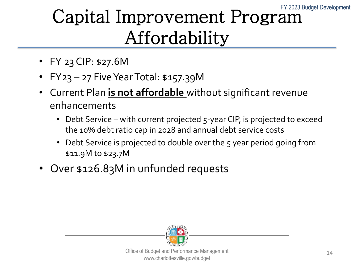#### Capital Improvement Program Affordability

- FY 23 CIP: \$27.6M
- FY23 27 Five Year Total: \$157.39M
- Current Plan **is not affordable** without significant revenue enhancements
	- Debt Service with current projected 5-year CIP, is projected to exceed the 10% debt ratio cap in 2028 and annual debt service costs
	- Debt Service is projected to double over the 5 year period going from \$11.9M to \$23.7M
- Over \$126.83M in unfunded requests

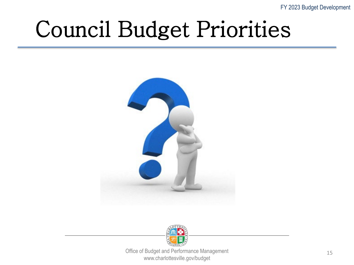FY 2023 Budget Development

### Council Budget Priorities



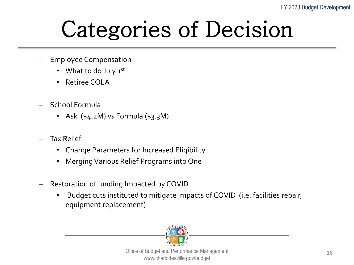### Categories of Decision

- Employee Compensation
	- What to do July  $1^{st}$
	- Retiree COLA
- School Formula
	- Ask  $(*4.2M)$  vs Formula  $(*3.3M)$
- Tax Relief
	- Change Parameters for Increased Eligibility
	- Merging Various Relief Programs into One
- Restoration of funding Impacted by COVID
	- Budget cuts instituted to mitigate impacts of COVID (i.e. facilities repair, equipment replacement)